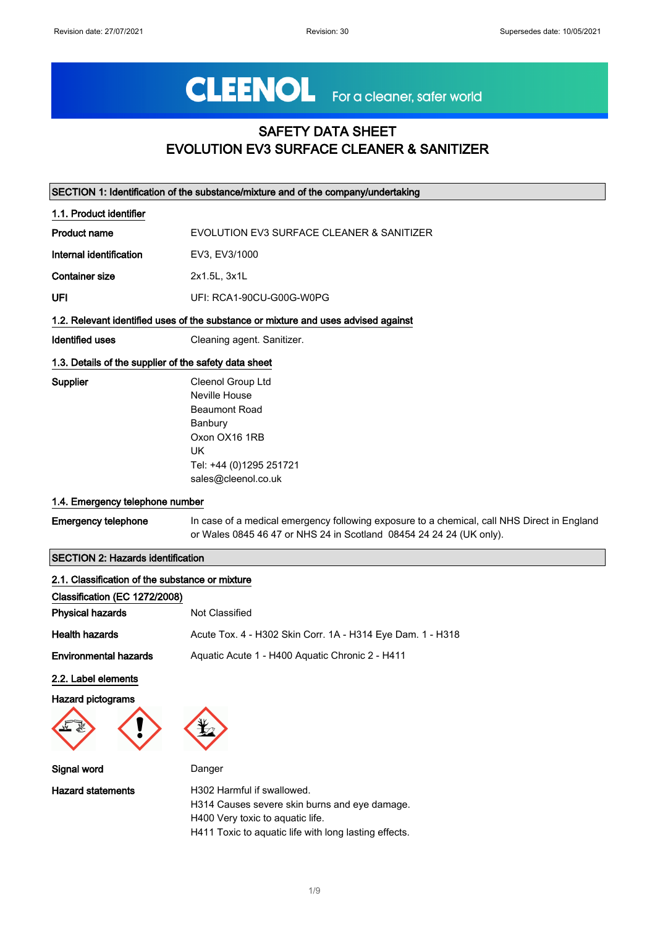# CLEENOL For a cleaner, safer world

### SAFETY DATA SHEET EVOLUTION EV3 SURFACE CLEANER & SANITIZER

| SECTION 1: Identification of the substance/mixture and of the company/undertaking |                                                                                                                                                                    |
|-----------------------------------------------------------------------------------|--------------------------------------------------------------------------------------------------------------------------------------------------------------------|
| 1.1. Product identifier                                                           |                                                                                                                                                                    |
| <b>Product name</b>                                                               | EVOLUTION EV3 SURFACE CLEANER & SANITIZER                                                                                                                          |
| Internal identification                                                           | EV3, EV3/1000                                                                                                                                                      |
| <b>Container size</b>                                                             | 2x1.5L, 3x1L                                                                                                                                                       |
| UFI                                                                               | UFI: RCA1-90CU-G00G-W0PG                                                                                                                                           |
|                                                                                   | 1.2. Relevant identified uses of the substance or mixture and uses advised against                                                                                 |
| <b>Identified uses</b>                                                            | Cleaning agent. Sanitizer.                                                                                                                                         |
| 1.3. Details of the supplier of the safety data sheet                             |                                                                                                                                                                    |
| Supplier<br>1.4. Emergency telephone number                                       | Cleenol Group Ltd<br>Neville House<br><b>Beaumont Road</b><br>Banbury<br>Oxon OX16 1RB<br><b>UK</b><br>Tel: +44 (0)1295 251721<br>sales@cleenol.co.uk              |
| <b>Emergency telephone</b>                                                        | In case of a medical emergency following exposure to a chemical, call NHS Direct in England<br>or Wales 0845 46 47 or NHS 24 in Scotland 08454 24 24 24 (UK only). |
| <b>SECTION 2: Hazards identification</b>                                          |                                                                                                                                                                    |
| 2.1. Classification of the substance or mixture                                   |                                                                                                                                                                    |

| 2.1. Classification of the substance or mixture |                                                                                                                 |
|-------------------------------------------------|-----------------------------------------------------------------------------------------------------------------|
| Classification (EC 1272/2008)                   |                                                                                                                 |
| <b>Physical hazards</b>                         | Not Classified                                                                                                  |
| <b>Health hazards</b>                           | Acute Tox. 4 - H302 Skin Corr. 1A - H314 Eye Dam. 1 - H318                                                      |
| <b>Environmental hazards</b>                    | Aquatic Acute 1 - H400 Aquatic Chronic 2 - H411                                                                 |
| 2.2. Label elements                             |                                                                                                                 |
| <b>Hazard pictograms</b>                        |                                                                                                                 |
|                                                 |                                                                                                                 |
| Signal word                                     | Danger                                                                                                          |
| <b>Hazard statements</b>                        | H302 Harmful if swallowed.<br>H314 Causes severe skin burns and eye damage.<br>H400 Very toxic to aquatic life. |

H411 Toxic to aquatic life with long lasting effects.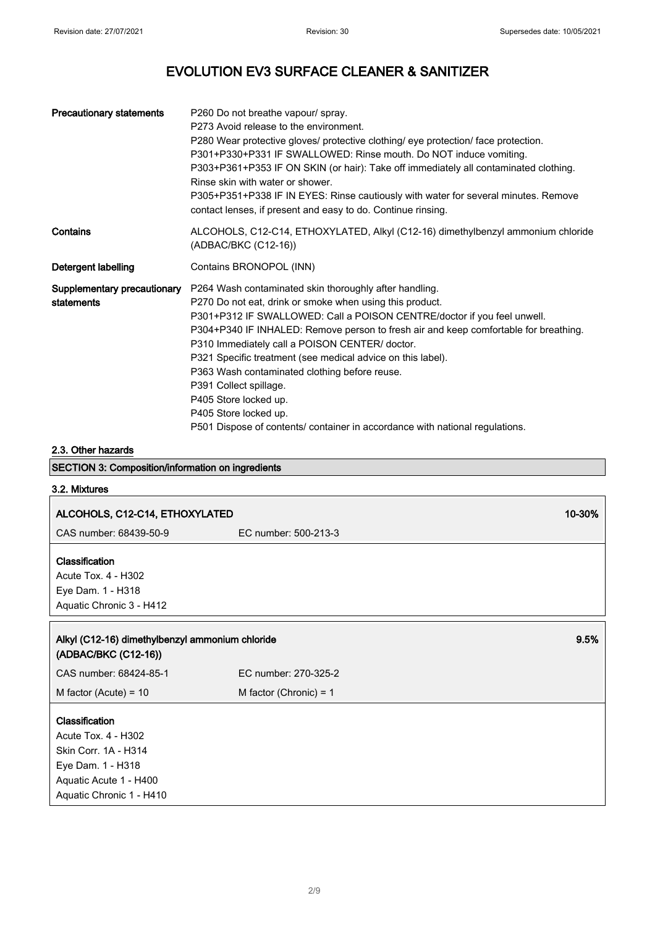| <b>Precautionary statements</b>           | P260 Do not breathe vapour/ spray.<br>P273 Avoid release to the environment.<br>P280 Wear protective gloves/ protective clothing/ eye protection/ face protection.<br>P301+P330+P331 IF SWALLOWED: Rinse mouth. Do NOT induce vomiting.<br>P303+P361+P353 IF ON SKIN (or hair): Take off immediately all contaminated clothing.<br>Rinse skin with water or shower.<br>P305+P351+P338 IF IN EYES: Rinse cautiously with water for several minutes. Remove<br>contact lenses, if present and easy to do. Continue rinsing.                                                                                           |
|-------------------------------------------|---------------------------------------------------------------------------------------------------------------------------------------------------------------------------------------------------------------------------------------------------------------------------------------------------------------------------------------------------------------------------------------------------------------------------------------------------------------------------------------------------------------------------------------------------------------------------------------------------------------------|
| Contains                                  | ALCOHOLS, C12-C14, ETHOXYLATED, Alkyl (C12-16) dimethylbenzyl ammonium chloride<br>(ADBAC/BKC (C12-16))                                                                                                                                                                                                                                                                                                                                                                                                                                                                                                             |
| Detergent labelling                       | Contains BRONOPOL (INN)                                                                                                                                                                                                                                                                                                                                                                                                                                                                                                                                                                                             |
| Supplementary precautionary<br>statements | P264 Wash contaminated skin thoroughly after handling.<br>P270 Do not eat, drink or smoke when using this product.<br>P301+P312 IF SWALLOWED: Call a POISON CENTRE/doctor if you feel unwell.<br>P304+P340 IF INHALED: Remove person to fresh air and keep comfortable for breathing.<br>P310 Immediately call a POISON CENTER/ doctor.<br>P321 Specific treatment (see medical advice on this label).<br>P363 Wash contaminated clothing before reuse.<br>P391 Collect spillage.<br>P405 Store locked up.<br>P405 Store locked up.<br>P501 Dispose of contents/ container in accordance with national regulations. |

#### 2.3. Other hazards

#### SECTION 3: Composition/information on ingredients

#### 3.2. Mixtures

| ALCOHOLS, C12-C14, ETHOXYLATED                                                                                                                  | 10-30%                   |      |
|-------------------------------------------------------------------------------------------------------------------------------------------------|--------------------------|------|
| CAS number: 68439-50-9                                                                                                                          | EC number: 500-213-3     |      |
| Classification<br>Acute Tox. 4 - H302<br>Eye Dam. 1 - H318<br>Aquatic Chronic 3 - H412                                                          |                          |      |
| Alkyl (C12-16) dimethylbenzyl ammonium chloride<br>(ADBAC/BKC (C12-16))                                                                         |                          | 9.5% |
| CAS number: 68424-85-1                                                                                                                          | EC number: 270-325-2     |      |
| M factor (Acute) = $10$                                                                                                                         | M factor (Chronic) = $1$ |      |
| <b>Classification</b><br>Acute Tox. 4 - H302<br>Skin Corr. 1A - H314<br>Eye Dam. 1 - H318<br>Aquatic Acute 1 - H400<br>Aquatic Chronic 1 - H410 |                          |      |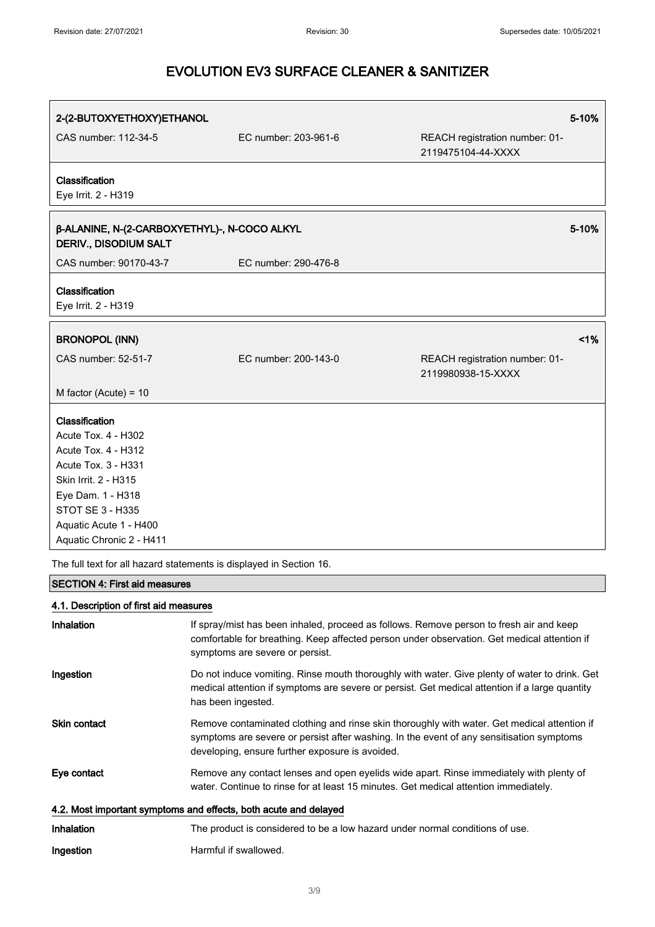| 2-(2-BUTOXYETHOXY)ETHANOL                                                    |                      |                                                      | 5-10% |
|------------------------------------------------------------------------------|----------------------|------------------------------------------------------|-------|
| CAS number: 112-34-5                                                         | EC number: 203-961-6 | REACH registration number: 01-<br>2119475104-44-XXXX |       |
| Classification<br>Eye Irrit. 2 - H319                                        |                      |                                                      |       |
| β-ALANINE, N-(2-CARBOXYETHYL)-, N-COCO ALKYL<br><b>DERIV., DISODIUM SALT</b> |                      |                                                      | 5-10% |
| CAS number: 90170-43-7                                                       | EC number: 290-476-8 |                                                      |       |
| Classification<br>Eye Irrit. 2 - H319                                        |                      |                                                      |       |
| <b>BRONOPOL (INN)</b>                                                        |                      |                                                      | 1%    |
| CAS number: 52-51-7                                                          | EC number: 200-143-0 | REACH registration number: 01-<br>2119980938-15-XXXX |       |
| M factor (Acute) = $10$                                                      |                      |                                                      |       |
| Classification                                                               |                      |                                                      |       |
| Acute Tox. 4 - H302                                                          |                      |                                                      |       |
| <b>Acute Tox. 4 - H312</b>                                                   |                      |                                                      |       |
| Acute Tox. 3 - H331                                                          |                      |                                                      |       |
| Skin Irrit. 2 - H315                                                         |                      |                                                      |       |
| Eye Dam. 1 - H318                                                            |                      |                                                      |       |
| <b>STOT SE 3 - H335</b>                                                      |                      |                                                      |       |
| Aquatic Acute 1 - H400                                                       |                      |                                                      |       |
| Aquatic Chronic 2 - H411                                                     |                      |                                                      |       |
| The full text for all hazard statements is displayed in Section 16.          |                      |                                                      |       |

#### SECTION 4: First aid measures

#### 4.1. Description of first aid measures

| Inhalation                                                       | If spray/mist has been inhaled, proceed as follows. Remove person to fresh air and keep<br>comfortable for breathing. Keep affected person under observation. Get medical attention if<br>symptoms are severe or persist.                  |  |
|------------------------------------------------------------------|--------------------------------------------------------------------------------------------------------------------------------------------------------------------------------------------------------------------------------------------|--|
| Ingestion                                                        | Do not induce vomiting. Rinse mouth thoroughly with water. Give plenty of water to drink. Get<br>medical attention if symptoms are severe or persist. Get medical attention if a large quantity<br>has been ingested.                      |  |
| <b>Skin contact</b>                                              | Remove contaminated clothing and rinse skin thoroughly with water. Get medical attention if<br>symptoms are severe or persist after washing. In the event of any sensitisation symptoms<br>developing, ensure further exposure is avoided. |  |
| Eye contact                                                      | Remove any contact lenses and open eyelids wide apart. Rinse immediately with plenty of<br>water. Continue to rinse for at least 15 minutes. Get medical attention immediately.                                                            |  |
| 4.2. Most important symptoms and effects, both acute and delayed |                                                                                                                                                                                                                                            |  |
| <b>Inhalation</b>                                                | The product is considered to be a low hazard under normal conditions of use.                                                                                                                                                               |  |
| Ingestion                                                        | Harmful if swallowed.                                                                                                                                                                                                                      |  |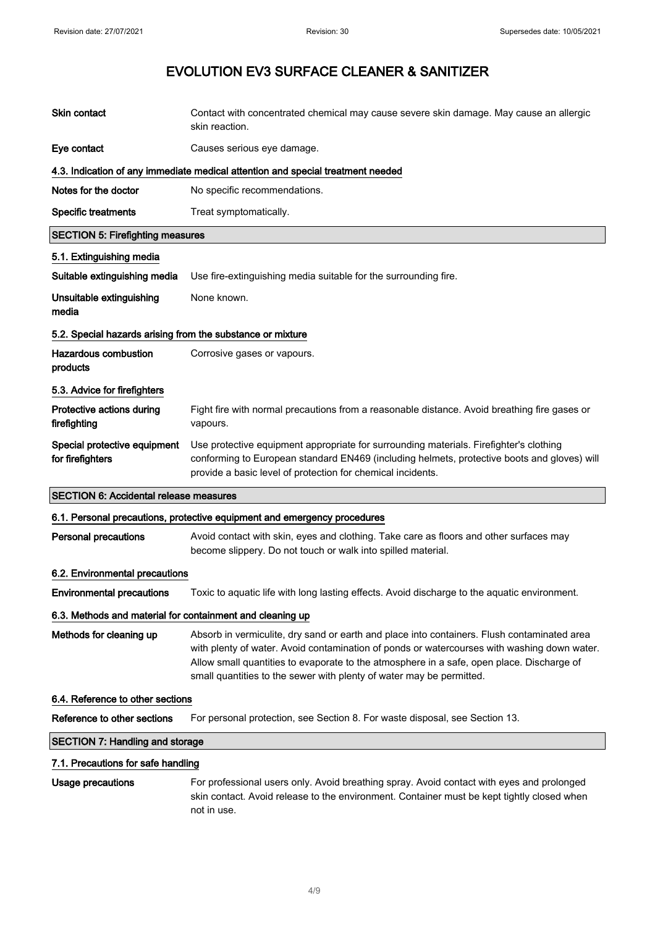| Skin contact                                               | Contact with concentrated chemical may cause severe skin damage. May cause an allergic<br>skin reaction.                                                                                                                                                                                                                                                        |  |
|------------------------------------------------------------|-----------------------------------------------------------------------------------------------------------------------------------------------------------------------------------------------------------------------------------------------------------------------------------------------------------------------------------------------------------------|--|
| Eye contact                                                | Causes serious eye damage.                                                                                                                                                                                                                                                                                                                                      |  |
|                                                            | 4.3. Indication of any immediate medical attention and special treatment needed                                                                                                                                                                                                                                                                                 |  |
| Notes for the doctor                                       | No specific recommendations.                                                                                                                                                                                                                                                                                                                                    |  |
| <b>Specific treatments</b>                                 | Treat symptomatically.                                                                                                                                                                                                                                                                                                                                          |  |
| <b>SECTION 5: Firefighting measures</b>                    |                                                                                                                                                                                                                                                                                                                                                                 |  |
| 5.1. Extinguishing media                                   |                                                                                                                                                                                                                                                                                                                                                                 |  |
| Suitable extinguishing media                               | Use fire-extinguishing media suitable for the surrounding fire.                                                                                                                                                                                                                                                                                                 |  |
| Unsuitable extinguishing<br>media                          | None known.                                                                                                                                                                                                                                                                                                                                                     |  |
| 5.2. Special hazards arising from the substance or mixture |                                                                                                                                                                                                                                                                                                                                                                 |  |
| <b>Hazardous combustion</b><br>products                    | Corrosive gases or vapours.                                                                                                                                                                                                                                                                                                                                     |  |
| 5.3. Advice for firefighters                               |                                                                                                                                                                                                                                                                                                                                                                 |  |
| Protective actions during<br>firefighting                  | Fight fire with normal precautions from a reasonable distance. Avoid breathing fire gases or<br>vapours.                                                                                                                                                                                                                                                        |  |
| Special protective equipment<br>for firefighters           | Use protective equipment appropriate for surrounding materials. Firefighter's clothing<br>conforming to European standard EN469 (including helmets, protective boots and gloves) will<br>provide a basic level of protection for chemical incidents.                                                                                                            |  |
| <b>SECTION 6: Accidental release measures</b>              |                                                                                                                                                                                                                                                                                                                                                                 |  |
|                                                            | 6.1. Personal precautions, protective equipment and emergency procedures                                                                                                                                                                                                                                                                                        |  |
| <b>Personal precautions</b>                                | Avoid contact with skin, eyes and clothing. Take care as floors and other surfaces may<br>become slippery. Do not touch or walk into spilled material.                                                                                                                                                                                                          |  |
| 6.2. Environmental precautions                             |                                                                                                                                                                                                                                                                                                                                                                 |  |
| <b>Environmental precautions</b>                           | Toxic to aquatic life with long lasting effects. Avoid discharge to the aquatic environment.                                                                                                                                                                                                                                                                    |  |
| 6.3. Methods and material for containment and cleaning up  |                                                                                                                                                                                                                                                                                                                                                                 |  |
| Methods for cleaning up                                    | Absorb in vermiculite, dry sand or earth and place into containers. Flush contaminated area<br>with plenty of water. Avoid contamination of ponds or watercourses with washing down water.<br>Allow small quantities to evaporate to the atmosphere in a safe, open place. Discharge of<br>small quantities to the sewer with plenty of water may be permitted. |  |
| 6.4. Reference to other sections                           |                                                                                                                                                                                                                                                                                                                                                                 |  |
| Reference to other sections                                | For personal protection, see Section 8. For waste disposal, see Section 13.                                                                                                                                                                                                                                                                                     |  |
| <b>SECTION 7: Handling and storage</b>                     |                                                                                                                                                                                                                                                                                                                                                                 |  |
| 7.1. Precautions for safe handling                         |                                                                                                                                                                                                                                                                                                                                                                 |  |
| <b>Usage precautions</b>                                   | For professional users only. Avoid breathing spray. Avoid contact with eyes and prolonged<br>skin contact. Avoid release to the environment. Container must be kept tightly closed when<br>not in use.                                                                                                                                                          |  |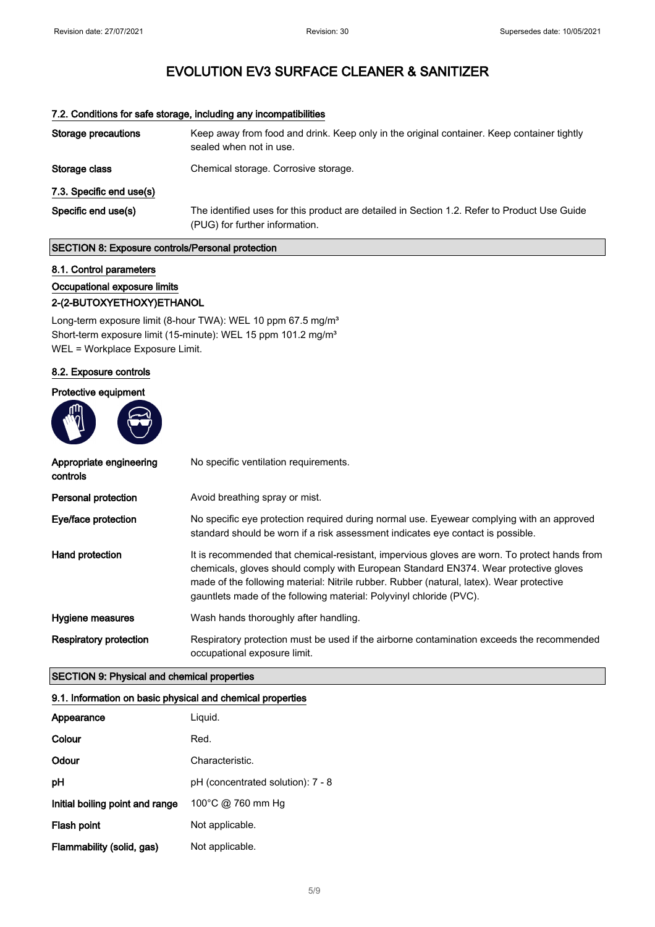| 7.2. Conditions for safe storage, including any incompatibilities |                                                                                                                                |  |
|-------------------------------------------------------------------|--------------------------------------------------------------------------------------------------------------------------------|--|
| Storage precautions                                               | Keep away from food and drink. Keep only in the original container. Keep container tightly<br>sealed when not in use.          |  |
| Storage class                                                     | Chemical storage. Corrosive storage.                                                                                           |  |
| 7.3. Specific end use(s)                                          |                                                                                                                                |  |
| Specific end use(s)                                               | The identified uses for this product are detailed in Section 1.2. Refer to Product Use Guide<br>(PUG) for further information. |  |

#### SECTION 8: Exposure controls/Personal protection

#### 8.1. Control parameters

### Occupational exposure limits

#### 2-(2-BUTOXYETHOXY)ETHANOL

Long-term exposure limit (8-hour TWA): WEL 10 ppm 67.5 mg/m<sup>3</sup> Short-term exposure limit (15-minute): WEL 15 ppm 101.2 mg/m<sup>3</sup> WEL = Workplace Exposure Limit.

#### 8.2. Exposure controls

#### Protective equipment



| Appropriate engineering<br>controls | No specific ventilation requirements.                                                                                                                                                                                                                                                                                                                   |
|-------------------------------------|---------------------------------------------------------------------------------------------------------------------------------------------------------------------------------------------------------------------------------------------------------------------------------------------------------------------------------------------------------|
| <b>Personal protection</b>          | Avoid breathing spray or mist.                                                                                                                                                                                                                                                                                                                          |
| Eye/face protection                 | No specific eye protection required during normal use. Eyewear complying with an approved<br>standard should be worn if a risk assessment indicates eye contact is possible.                                                                                                                                                                            |
| Hand protection                     | It is recommended that chemical-resistant, impervious gloves are worn. To protect hands from<br>chemicals, gloves should comply with European Standard EN374. Wear protective gloves<br>made of the following material: Nitrile rubber. Rubber (natural, latex). Wear protective<br>gauntlets made of the following material: Polyvinyl chloride (PVC). |
| Hygiene measures                    | Wash hands thoroughly after handling.                                                                                                                                                                                                                                                                                                                   |
| <b>Respiratory protection</b>       | Respiratory protection must be used if the airborne contamination exceeds the recommended<br>occupational exposure limit.                                                                                                                                                                                                                               |

#### SECTION 9: Physical and chemical properties

#### 9.1. Information on basic physical and chemical properties

| Appearance                      | Liquid.                           |
|---------------------------------|-----------------------------------|
| Colour                          | Red.                              |
| Odour                           | Characteristic.                   |
| рH                              | pH (concentrated solution): 7 - 8 |
| Initial boiling point and range | 100°C @ 760 mm Hg                 |
| Flash point                     | Not applicable.                   |
| Flammability (solid, gas)       | Not applicable.                   |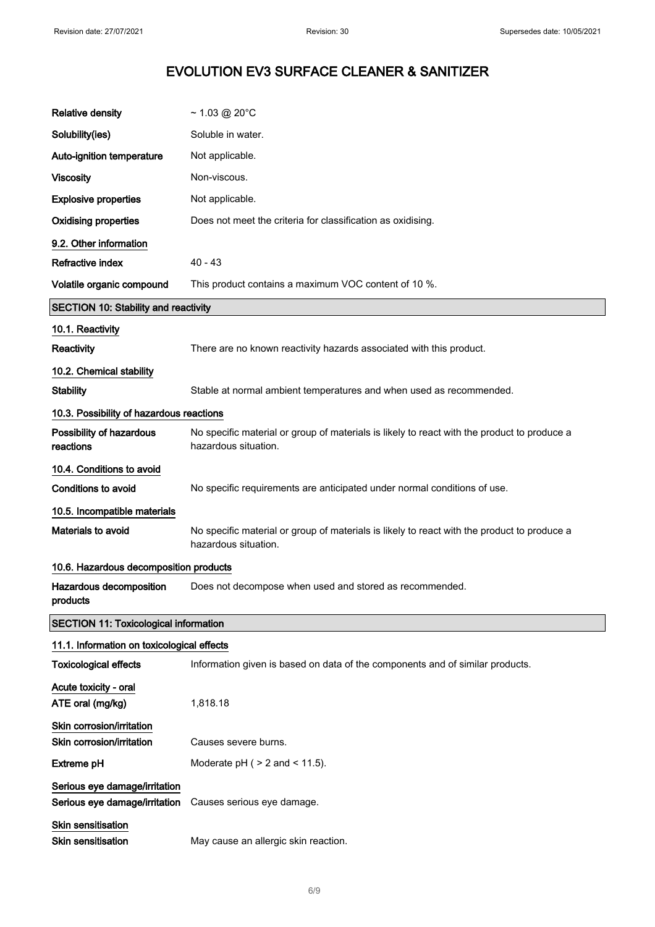J.

### EVOLUTION EV3 SURFACE CLEANER & SANITIZER

| <b>Relative density</b>                                        | $~1.03$ @ 20°C                                                                                                      |
|----------------------------------------------------------------|---------------------------------------------------------------------------------------------------------------------|
| Solubility(ies)                                                | Soluble in water.                                                                                                   |
| Auto-ignition temperature                                      | Not applicable.                                                                                                     |
| <b>Viscosity</b>                                               | Non-viscous.                                                                                                        |
| <b>Explosive properties</b>                                    | Not applicable.                                                                                                     |
| <b>Oxidising properties</b>                                    | Does not meet the criteria for classification as oxidising.                                                         |
| 9.2. Other information                                         |                                                                                                                     |
| <b>Refractive index</b>                                        | $40 - 43$                                                                                                           |
| Volatile organic compound                                      | This product contains a maximum VOC content of 10 %.                                                                |
| <b>SECTION 10: Stability and reactivity</b>                    |                                                                                                                     |
| 10.1. Reactivity                                               |                                                                                                                     |
| Reactivity                                                     | There are no known reactivity hazards associated with this product.                                                 |
| 10.2. Chemical stability                                       |                                                                                                                     |
| <b>Stability</b>                                               | Stable at normal ambient temperatures and when used as recommended.                                                 |
| 10.3. Possibility of hazardous reactions                       |                                                                                                                     |
| Possibility of hazardous<br>reactions                          | No specific material or group of materials is likely to react with the product to produce a<br>hazardous situation. |
| 10.4. Conditions to avoid                                      |                                                                                                                     |
| <b>Conditions to avoid</b>                                     | No specific requirements are anticipated under normal conditions of use.                                            |
| 10.5. Incompatible materials                                   |                                                                                                                     |
| Materials to avoid                                             | No specific material or group of materials is likely to react with the product to produce a<br>hazardous situation. |
| 10.6. Hazardous decomposition products                         |                                                                                                                     |
| Hazardous decomposition<br>products                            | Does not decompose when used and stored as recommended.                                                             |
| <b>SECTION 11: Toxicological information</b>                   |                                                                                                                     |
| 11.1. Information on toxicological effects                     |                                                                                                                     |
| <b>Toxicological effects</b>                                   | Information given is based on data of the components and of similar products.                                       |
| Acute toxicity - oral<br>ATE oral (mg/kg)                      | 1,818.18                                                                                                            |
| Skin corrosion/irritation                                      |                                                                                                                     |
| Skin corrosion/irritation                                      | Causes severe burns.                                                                                                |
| <b>Extreme pH</b>                                              | Moderate $pH$ ( $> 2$ and $< 11.5$ ).                                                                               |
| Serious eye damage/irritation<br>Serious eye damage/irritation | Causes serious eye damage.                                                                                          |
| Skin sensitisation<br><b>Skin sensitisation</b>                | May cause an allergic skin reaction.                                                                                |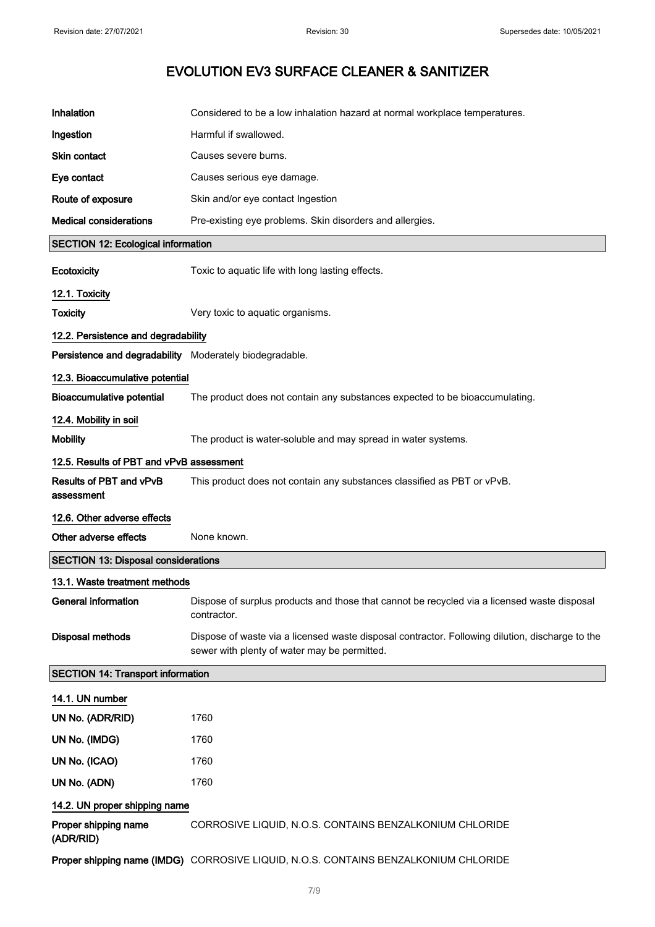| Inhalation                                              | Considered to be a low inhalation hazard at normal workplace temperatures.                                                                      |
|---------------------------------------------------------|-------------------------------------------------------------------------------------------------------------------------------------------------|
| Ingestion                                               | Harmful if swallowed.                                                                                                                           |
| Skin contact                                            | Causes severe burns.                                                                                                                            |
| Eye contact                                             | Causes serious eye damage.                                                                                                                      |
| Route of exposure                                       | Skin and/or eye contact Ingestion                                                                                                               |
| <b>Medical considerations</b>                           | Pre-existing eye problems. Skin disorders and allergies.                                                                                        |
| <b>SECTION 12: Ecological information</b>               |                                                                                                                                                 |
| Ecotoxicity                                             | Toxic to aquatic life with long lasting effects.                                                                                                |
| 12.1. Toxicity                                          |                                                                                                                                                 |
| <b>Toxicity</b>                                         | Very toxic to aquatic organisms.                                                                                                                |
| 12.2. Persistence and degradability                     |                                                                                                                                                 |
| Persistence and degradability Moderately biodegradable. |                                                                                                                                                 |
| 12.3. Bioaccumulative potential                         |                                                                                                                                                 |
| <b>Bioaccumulative potential</b>                        | The product does not contain any substances expected to be bioaccumulating.                                                                     |
| 12.4. Mobility in soil                                  |                                                                                                                                                 |
| <b>Mobility</b>                                         | The product is water-soluble and may spread in water systems.                                                                                   |
| 12.5. Results of PBT and vPvB assessment                |                                                                                                                                                 |
| Results of PBT and vPvB<br>assessment                   | This product does not contain any substances classified as PBT or vPvB.                                                                         |
| 12.6. Other adverse effects                             |                                                                                                                                                 |
| Other adverse effects                                   | None known.                                                                                                                                     |
| <b>SECTION 13: Disposal considerations</b>              |                                                                                                                                                 |
| 13.1. Waste treatment methods                           |                                                                                                                                                 |
| <b>General information</b>                              | Dispose of surplus products and those that cannot be recycled via a licensed waste disposal<br>contractor.                                      |
| <b>Disposal methods</b>                                 | Dispose of waste via a licensed waste disposal contractor. Following dilution, discharge to the<br>sewer with plenty of water may be permitted. |
| <b>SECTION 14: Transport information</b>                |                                                                                                                                                 |
| 14.1. UN number                                         |                                                                                                                                                 |
| UN No. (ADR/RID)                                        | 1760                                                                                                                                            |
| UN No. (IMDG)                                           | 1760                                                                                                                                            |
| UN No. (ICAO)                                           | 1760                                                                                                                                            |
| UN No. (ADN)                                            | 1760                                                                                                                                            |
| 14.2. UN proper shipping name                           |                                                                                                                                                 |
| Proper shipping name<br>(ADR/RID)                       | CORROSIVE LIQUID, N.O.S. CONTAINS BENZALKONIUM CHLORIDE                                                                                         |
|                                                         | Proper shipping name (IMDG) CORROSIVE LIQUID, N.O.S. CONTAINS BENZALKONIUM CHLORIDE                                                             |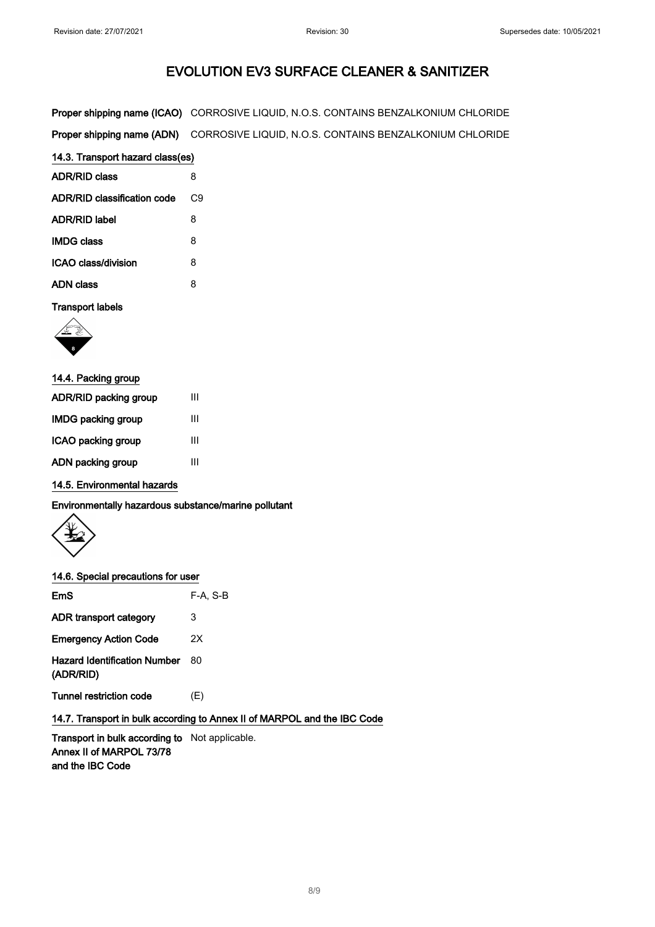|                                    | <b>Proper shipping name (ICAO)</b> CORROSIVE LIQUID, N.O.S. CONTAINS BENZALKONIUM CHLORIDE |  |
|------------------------------------|--------------------------------------------------------------------------------------------|--|
| Proper shipping name (ADN)         | CORROSIVE LIQUID, N.O.S. CONTAINS BENZALKONIUM CHLORIDE                                    |  |
| 14.3. Transport hazard class(es)   |                                                                                            |  |
| <b>ADR/RID class</b>               | 8                                                                                          |  |
| <b>ADR/RID classification code</b> | C <sub>9</sub>                                                                             |  |
| <b>ADR/RID label</b>               | 8                                                                                          |  |
| <b>IMDG class</b>                  | 8                                                                                          |  |
| ICAO class/division                | 8                                                                                          |  |

# ADN class 8

## Transport labels



| 14.4. Packing group   |   |
|-----------------------|---|
| ADR/RID packing group | Ш |
| IMDG packing group    | Ш |
| ICAO packing group    | Ш |
| ADN packing group     | Ш |

14.5. Environmental hazards

Environmentally hazardous substance/marine pollutant



#### 14.6. Special precautions for user

| <b>EmS</b>                                       | $F-A. S-B$ |
|--------------------------------------------------|------------|
| ADR transport category                           | 3          |
| <b>Emergency Action Code</b>                     | 2X         |
| <b>Hazard Identification Number</b><br>(ADR/RID) | 80         |
| Tunnel restriction code                          | (E)        |

14.7. Transport in bulk according to Annex II of MARPOL and the IBC Code

Transport in bulk according to Not applicable. Annex II of MARPOL 73/78 and the IBC Code